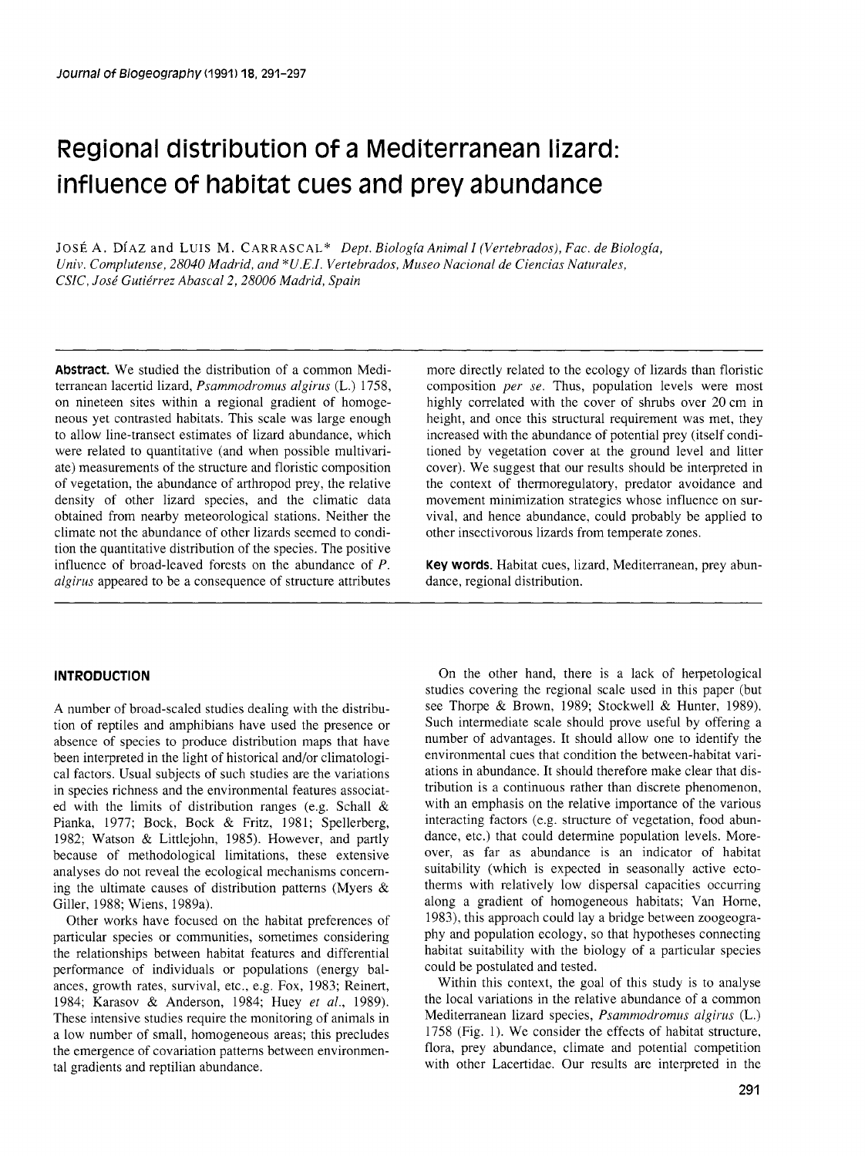# Regional distribution of a Mediterranean lizard: influence of habitat cues and prey abundance

JOSÉ A. DÍAZ and LUIS M. CARRASCAL\* Dept. Biología Animal I (Vertebrados), Fac. de Biología, *Univ. Complutense, 28040 Madrid, and \*U.E.I. Vertehrados, Museo Nacional de Ciencias Naturales, CSIC, José Gutiérrez Ahascal2,28006 Madrid, Spain* 

**AbStraCt.** We studied the distribution of a common Mediterranean lacertid lizard, *Psammodromus algirus* (L.) 1758, on nineteen sites within a regional gradient of homogeneous yet contrasted habitats. This scale was large enough to allow line-transect estimates of lizard abundance, which were related to quantitative (and when possible multivariate) measurements of the structure and floristic composition of vegetation, the abundance of arthropod prey, the relative density of other lizard species, and the climatic data obtained from nearby meteorological stations. Neither the climate not the abundance of other lizards seemed to condition the quantitative distribution of the species. The positive influence of broad-leaved forests on the abundance of *P. algirus* appeared to be a consequence of structure attributes

# **INTRODUCTION**

A number of broad-scaled studies dealing with the distribution of reptiles and amphibians have used the presence or absence of species to produce distribution maps that have been interpreted in the light of historical and/or climatological factors. Usual subjects of such studies are the variations in species richness and the environmental features associated with the limits of distribution ranges (e.g. Schall & Pianka, 1977; Bock, Bock & Fritz, 1981; Spellerberg, 1982; Watson & Littlejohn, 1985). However, and partly because of methodological limitations, these extensive analyses do not reveal the ecological mechanisms conceming the ultimate causes of distribution patterns (Myers  $\&$ Giller, 1988; Wiens, 1989a).

Other works have focused on the habitat preferences of particular species or communities, sometimes considering the relationships between habitat features and differential performance of individuals or populations (energy balances, growth rates, survival, etc., e.g. Fox, 1983; Reinert, 1984; Karasov & Anderson, 1984; Huey *et al.,* 1989). These intensive studies require the monitoring of animals in a low number of small, homogeneous areas; this precludes the emergence of covariation pattems between environmental gradients and reptilian abundance.

more directly related to the ecology of lizards than floristic composition *per se.* Thus, population levels were most highly correlated with the cover of shrubs over 20 cm in height, and once this structural requirement was met, they increased with the abundance of potential prey (itself conditioned by vegetation cover at the ground level and litter cover). We suggest that our results should be interpreted in the context of thermoregulatory, predator avoidance and movement minimization strategies whose influence on survival, and hence abundance, could probably be applied to other insectivorous lizards from temperate zones.

**Key words.** Habitat cues, lizard, Mediterranean, prey abundance, regional distribution.

On the other hand, there is a lack of herpetological studies covering the regional scale used in this paper (but see Thorpe & Brown, 1989; Stockwell & Hunter, 1989). Such intermediate scale should prove useful by offering a number of advantages. It should allow one to identify the environmental cues that condition the between-habitat variations in abundance. It should therefore make clear that distribution is a continuous rather than discrete phenomenon, with an emphasis on the relative importance of the various interacting factors (e.g. structure of vegetation, food abundance, etc.) that could determine population levels. Moreover, as far as abundance is an indicator of habitat suitability (which is expected in seasonally active ectotherms with relatively low dispersal capacities occurring along a gradient of homogeneous habitats; Van Home, 1983), this approach could lay a bridge between zoogeography and population ecology, so that hypotheses connecting habitat suitability with the biology of a particular species could be postulated and tested.

Within this context, the goal of this study is to analyse the local variations in the relative abundance of a common Mediterranean lizard species, *Psammodromus algirus* (L.) 1758 (Fig. 1). We consider the effects of habitat structure, flora, prey abundance, climate and potential competition with other Lacertidae. Our results are interpreted in the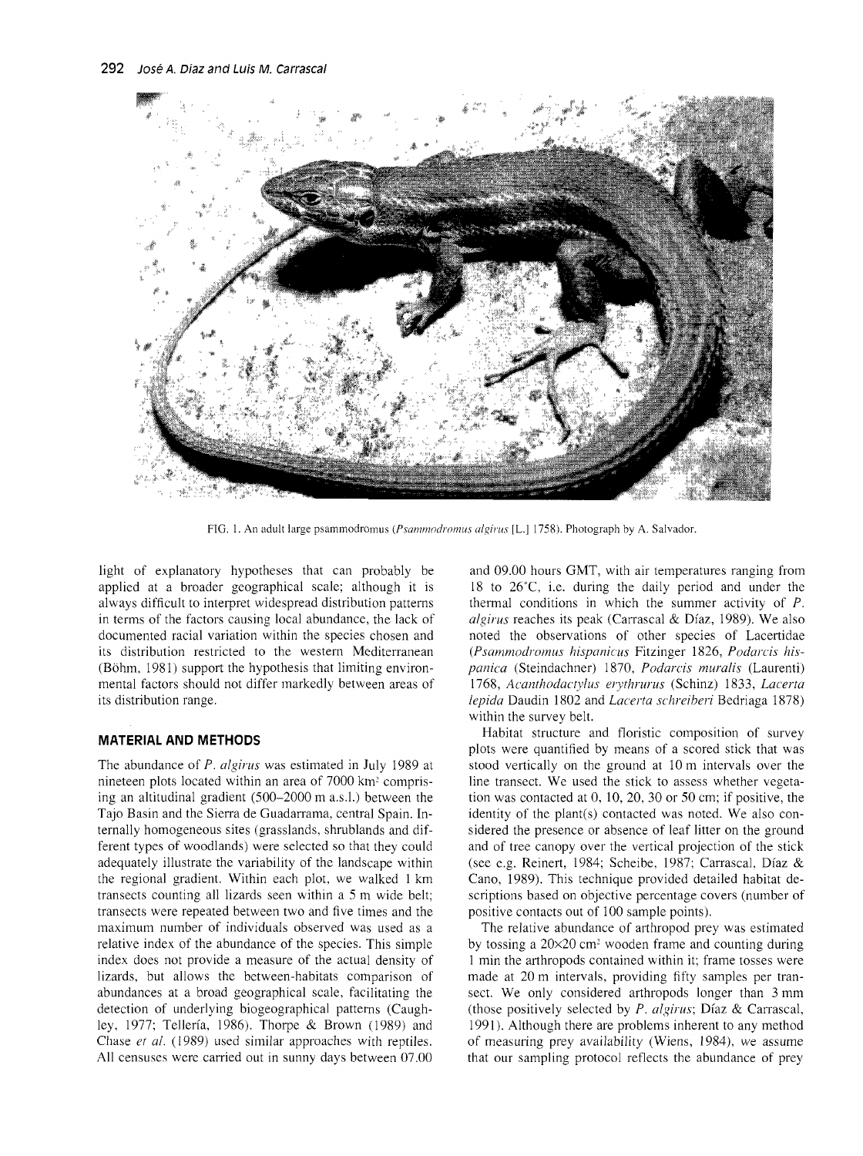

FIG. 1. An adult large psammodromus (*Psammodromus algirus* [L.] 1758). Photograph by A. Salvador.

light of explanatory hypotheses that can probably be applied at a broader geographical scale; although it is always difficult to interpret widespread distribution patterns in terms of the factors causing local abundance, the lack of documented racial variation within the species chosen and its distribution restricted to the western Mediterranean (Böhm, 1981) support the hypothesis that limiting environmental factors should not differ markedly between areas of its distribution range.

## **MATERIAL AND METHODS**

The abundance of P. algirus was estimated in July 1989 at nineteen plots located within an area of 7000 km<sup>2</sup> comprising an altitudinal gradient (500–2000 m a.s.l.) between the Tajo Basin and the Sierra de Guadarrama, central Spain. Internally homogeneous sites (grasslands, shrublands and different types of woodlands) were selected so that they could adequately illustrate the variability of the landscape within the regional gradient. Within each plot, we walked 1 km transects counting all lizards seen within a 5 m wide belt; transects were repeated between two and five times and the maximum number of individuals observed was used as a relative index of the abundance of the species. This simple index does not provide a measure of the actual density of lizards, but allows the between-habitats comparison of abundances at a broad geographical scale, facilitating the detection of underlying biogeographical patterns (Caughley, 1977; Tellería, 1986). Thorpe & Brown (1989) and Chase et al. (1989) used similar approaches with reptiles. All censuses were carried out in sunny days between 07.00

and 09.00 hours GMT, with air temperatures ranging from 18 to  $26^{\circ}$ C, i.e. during the daily period and under the thermal conditions in which the summer activity of  $P$ . algirus reaches its peak (Carrascal & Díaz, 1989). We also noted the observations of other species of Lacertidae (Psammodromus hispanicus Fitzinger 1826, Podarcis hispanica (Steindachner) 1870, Podarcis muralis (Laurenti) 1768, Acanthodactylus erythrurus (Schinz) 1833, Lacerta lepida Daudin 1802 and Lacerta schreiberi Bedriaga 1878) within the survey belt.

Habitat structure and floristic composition of survey plots were quantified by means of a scored stick that was stood vertically on the ground at 10 m intervals over the line transect. We used the stick to assess whether vegetation was contacted at  $0, 10, 20, 30$  or  $50$  cm; if positive, the identity of the plant(s) contacted was noted. We also considered the presence or absence of leaf litter on the ground and of tree canopy over the vertical projection of the stick (see e.g. Reinert, 1984; Scheibe, 1987; Carrascal, Díaz & Cano, 1989). This technique provided detailed habitat descriptions based on objective percentage covers (number of positive contacts out of 100 sample points).

The relative abundance of arthropod prey was estimated by tossing a  $20\times20$  cm<sup>2</sup> wooden frame and counting during 1 min the arthropods contained within it; frame tosses were made at 20 m intervals, providing fifty samples per transect. We only considered arthropods longer than 3 mm (those positively selected by  $P$ . algirus; Díaz & Carrascal, 1991). Although there are problems inherent to any method of measuring prey availability (Wiens, 1984), we assume that our sampling protocol reflects the abundance of prey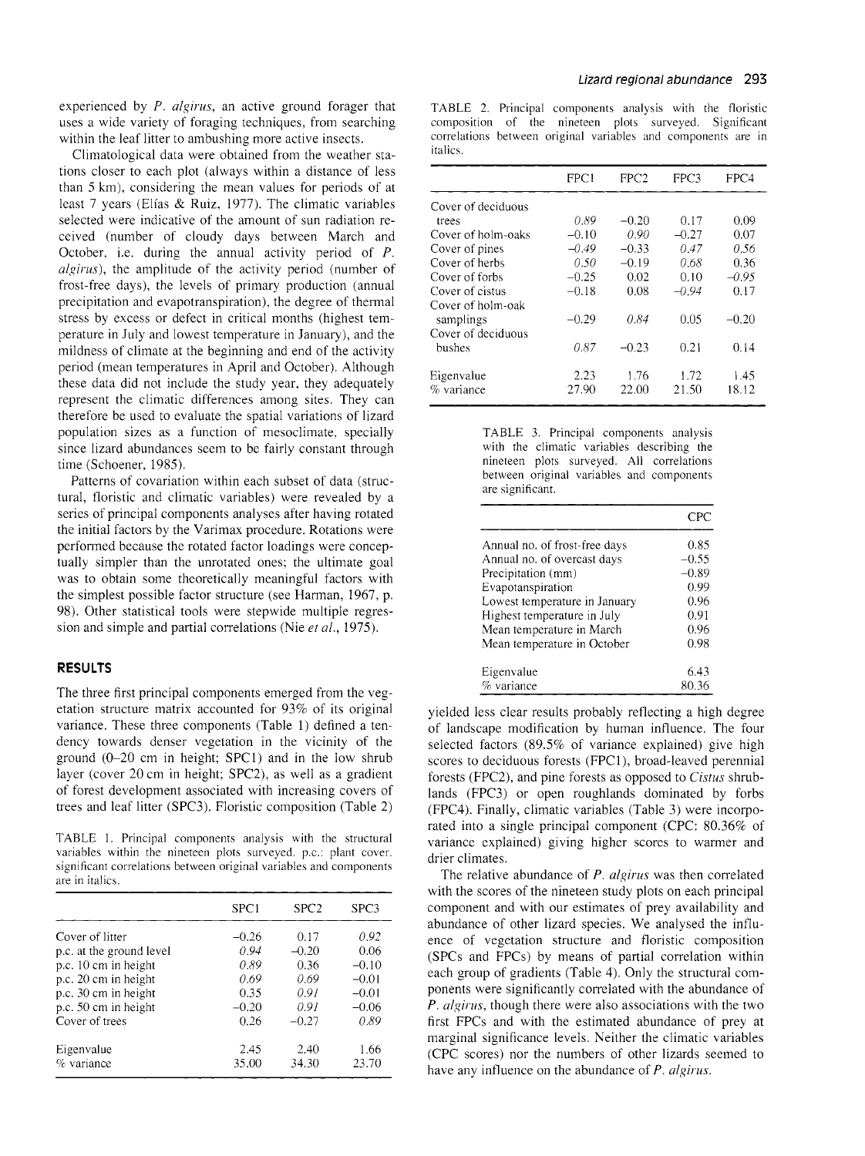experienced by P. algirus, an active ground forager that uses a wide variety of foraging techniques, from searching within the leaf litter to ambushing more active insects.

Climatological data were obtained from the weather stations closer to each plot (always within a distance of less than *5* km), considering the mean values for periods of at least 7 years (Elías & Ruiz, 1977). The climatic variables selected were indicative of the amount of sun radiation received (number of cloudy days between March and October, i.e. during the annual activity period of P. algirus), the amplitude of the activity period (number of frost-free days), the levels of primary production (annual precipitation and evapotranspiration), the degree of thermal stress by excess or defect in critica1 months (highest temperature in July and lowest temperature in January), and the mildness of climate at the beginning and end of the activity period (mean temperatures in April and October). Although these data did not include the study year, they adequately represent the climatic differences among sites. They can therefore be used to evaluate the spatial variations of lizard population sizes as a function of mesoclimate, specially since lizard abundances seem to be fairly constant through time (Schoener, 1985).

Patterns of covariation within each subset of data (structural, floristic and climatic variables) were revealed by a series of principal components analyses after having rotated the initial factors by the Varimax procedure. Rotations were performed because the rotated factor loadings were conceptually simpler than the unrotated ones; the ultimate goal was to obtain some theoretically meaningful factors with the simplest possible factor structure (see Harman, 1967, p. 98). Other statistical tools were stepwide multiple regression and simple and partial correlations (Nie *et* al., 1975).

## **RESULTS**

The three first principal components emerged from the vegetation structure matrix accounted for 93% of its original variance. These three components (Table 1) defined a tendency towards denser vegetation in the vicinity of the ground (0-20 cm in height; SPC1) and in the low shrub layer (cover 20 cm in height; SPC2), as well as a gradient of forest development associated with increasing covers of trees and leaf litter (SPC3). Floristic composition (Table 2)

TABLE 1. Principal components analysis with the structural variables within the nineteen plots surveyed. p.c.: plant cover. significant correlations between original variables and components are in italics.

|                          | SPC1    | SPC <sub>2</sub> | SPC3    |
|--------------------------|---------|------------------|---------|
| Cover of litter          | $-0.26$ | 0.17             | 0.92    |
| p.c. at the ground level | 0.94    | $-0.20$          | 0.06    |
| p.c. 10 cm in height     | 0.89    | 0.36             | $-0.10$ |
| p.c. 20 cm in height     | 0.69    | 0.69             | $-0.01$ |
| p.c. 30 cm in height     | 0.35    | 0.91             | $-0.01$ |
| p.c. 50 cm in height     | $-0.20$ | 0.91             | $-0.06$ |
| Cover of trees           | 0.26    | $-0.27$          | 0.89    |
| Eigenvalue               | 2.45    | 2.40             | 1.66    |
| % variance               | 35.00   | 34.30            | 23.70   |

TABLE 2. Principal components analysis with the floristic composition of the nineteen plots surveyed. Significant correlations between original variables and components are in italics.

|                    | FPC1    | FPC2    | FPC3    | FPC4    |
|--------------------|---------|---------|---------|---------|
| Cover of deciduous |         |         |         |         |
| trees              | 0.89    | $-0.20$ | 0.17    | 0.09    |
| Cover of holm-oaks | $-0.10$ | 0.90    | $-0.27$ | 0.07    |
| Cover of pines     | $-0.49$ | $-0.33$ | 0.47    | 0.56    |
| Cover of herbs     | 0.50    | $-0.19$ | 0.68    | 0.36    |
| Cover of forbs     | $-0.25$ | 0.02    | 0.10    | $-0.95$ |
| Cover of cistus    | $-0.18$ | 0.08    | $-0.94$ | 0.17    |
| Cover of holm-oak  |         |         |         |         |
| samplings          | $-0.29$ | 0.84    | 0.05    | $-0.20$ |
| Cover of deciduous |         |         |         |         |
| bushes             | 0.87    | $-0.23$ | 0.21    | 0.14    |
| Eigenvalue         | 2.23    | 1.76    | 1.72    | 1.45    |
| % variance         | 27.90   | 22.00   | 21.50   | 18.12   |

| TABLE 3. Principal components analysis     |
|--------------------------------------------|
| with the climatic variables describing the |
| nineteen plots surveyed. All correlations  |
| between original variables and components  |
| are significant.                           |

| Annual no. of frost-free days | 0.85    |
|-------------------------------|---------|
| Annual no. of overcast days   | $-0.55$ |
| Precipitation (mm)            | $-0.89$ |
| Evapotanspiration             | 0.99    |
| Lowest temperature in January | 0.96    |
| Highest temperature in July   | 0.91    |
| Mean temperature in March     | 0.96    |
| Mean temperature in October   | 0.98    |
| Eigenvalue                    | 6.43    |
| % variance                    | 80.36   |

yielded less clear results probably reflecting a high degree of landscape modification by human influence. The four selected factors (89.5% of variance explained) give high scores to deciduous forests (FPCI), broad-leaved perennial forests (FPC2), and pine forests as opposed to Cistus shrublands (FPC3) or open roughlands dominated by forbs (FPC4). Finally, climatic variables (Table 3) were incorporated into a single principal component (CPC: 80.36% of variance explained) giving higher scores to warmer and drier climates.

The relative abundance of  $P$ . algirus was then correlated with the scores of the nineteen study plots on each principal component and with our estimates of prey availability and abundance of other lizard species. We analysed the influence of vegetation structure and floristic composition (SPCs and FPCs) by means of partial correlation within each group of gradients (Table 4). Only the structural components were significantly correlated with the abundance of  $\overline{P}$ . algirus, though there were also associations with the two first FPCs and with the estimated abundance of prey at marginal significance levels. Neither the climatic variables (CPC scores) nor the numbers of other lizards seemed to have any influence on the abundance of  $P$ . algirus.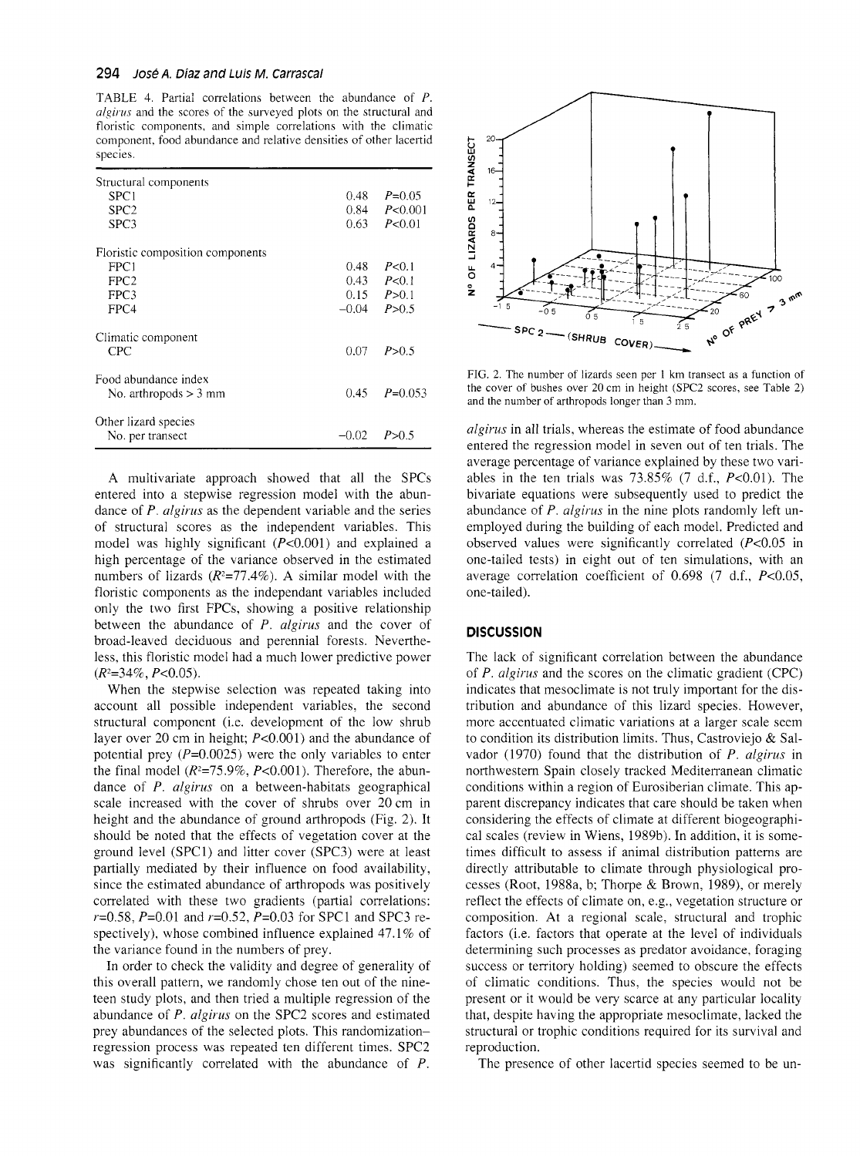#### 294 **Ð osé A. Diaz and Luis M. Carrasca1**

TABLE 4. Partial correlations between the abundance of P. algirus and the scores of the surveyed plots on the structural and floristic components, and simple correlations with the climatic component, food abundance and relative densities of other lacertid species.

| Structural components            |          |                      |
|----------------------------------|----------|----------------------|
| SPC1                             | 0.48     | $P=0.05$             |
| SPC <sub>2</sub>                 | 0.84     | P< 0.001             |
| SPC3                             | $0.63 -$ | P < 0.01             |
| Floristic composition components |          |                      |
| FPC1                             | 0.48     | P < 0.1              |
| FPC <sub>2</sub>                 | 0.43     | P<0.1                |
| FPC3                             |          | $0.15 \quad P > 0.1$ |
| FPC4                             | $-0.04$  | P > 0.5              |
| Climatic component               |          |                      |
| CPC.                             | 0.07     | P > 0.5              |
| Food abundance index             |          |                      |
| No. arthropods $>$ 3 mm          | 0.45     | $P=0.053$            |
| Other lizard species             |          |                      |
| No. per transect                 | $-0.02$  | P > 0.5              |

A multivariate approach showed that al1 the SPCs entered into a stepwise regression model with the abundance of  $P$ . *algirus* as the dependent variable and the series of structural scores as the independent variables. This model was highly significant  $(P<0.001)$  and explained a high percentage of the variance observed in the estimated numbers of lizards  $(R^2=77.4\%)$ . A similar model with the floristic components as the independant variables included only the two first FPCs, showing a positive relationship between the abundance of  $P$ . algirus and the cover of broad-leaved deciduous and perennial forests. Nevertheless, this floristic model had a much lower predictive power  $(R^2=34\%, P<0.05)$ .

When the stepwise selection was repeated taking into account al1 posible independent variables, the second structural component (i.e. development of the low shrub layer over 20 cm in height; P<0.001) and the abundance of potential prey  $(P=0.0025)$  were the only variables to enter the final model  $(R^2=75.9\%, P<0.001)$ . Therefore, the abundance of P. algirus on a between-habitats geographical scale increased with the cover of shrubs over 20 cm in height and the abundance of ground arthropods (Fig. 2). It should be noted that the effects of vegetation cover at the ground level (SPC1) and litter cover (SPC3) were at least partially mediated by their influence on food availability, since the estimated abundance of arthropods was positively correlated with these two gradients (partial correlations:  $r=0.58$ ,  $P=0.01$  and  $r=0.52$ ,  $P=0.03$  for SPC1 and SPC3 respectively), whose combined influence explained 47.1% of the variance found in the numbers of prey.

In order to check the validity and degree of generality of this overall pattern, we randomly chose ten out of the nineteen study plots, and then tried a multiple regression of the abundance of P. algirus on the SPC2 scores and estimated prey abundances of the selected plots. This randomizationregression process was repeated ten different times. SPC2 was significantly correlated with the abundance of P.



FIG. 2. The number of lizards seen per 1 km transect as a function of the cover of bushes over 20 cm in height (SPC2 scores, see Table 2) and the number of arthropods longer than 3 mm.

algirus in al1 trials, whereas the estimate of food abundance entered the regression model in seven out of ten trials. The average percentage of variance explained by these two variables in the ten trials was  $73.85\%$  (7 d.f.,  $P<0.01$ ). The bivariate equations were subsequently used to predict the abundance of P. algirus in the nine plots randomly left unemployed during the building of each model. Predicted and observed values were significantly correlated  $(P<0.05$  in one-tailed tests) in eight out of ten simulations, with an average correlation coefficient of 0.698 (7 d.f., P<0.05, one-tailed).

#### **DISCUSSION**

The lack of significant correlation between the abundance of P. algirus and the scores on the climatic gradient (CPC) indicates that mesoclimate is not truly important for the distribution and abundance of this lizard species. However, more accentuated climatic variations at a larger scale seem to condition its distribution limits. Thus, Castroviejo & Salvador (1970) found that the distribution of P. algirus in northwestem Spain closely tracked Mediterranean climatic conditions within a region of Eurosiberian climate. This apparent discrepancy indicates that care should be taken when considering the effects of climate at different biogeographical scales (review in Wiens, 1989b). In addition, it is sometimes difficult to assess if animal distribution pattems are directly attributable to climate through physiological processes (Root, 1988a, b; Thorpe & Brown, 1989), or merely reflect the effects of climate on, e.g., vegetation structure or composition. At a regional scale, structural and trophic factors (i.e. factors that operate at the level of individuals determining such processes as predator avoidance, foraging success or territory holding) seemed to obscure the effects of climatic conditions. Thus, the species would not be present or it would be very scarce at any particular locality that, despite having the appropriate mesoclimate, lacked the structural or trophic conditions required for its survival and reproduction.

The presence of other lacertid species seemed to be un-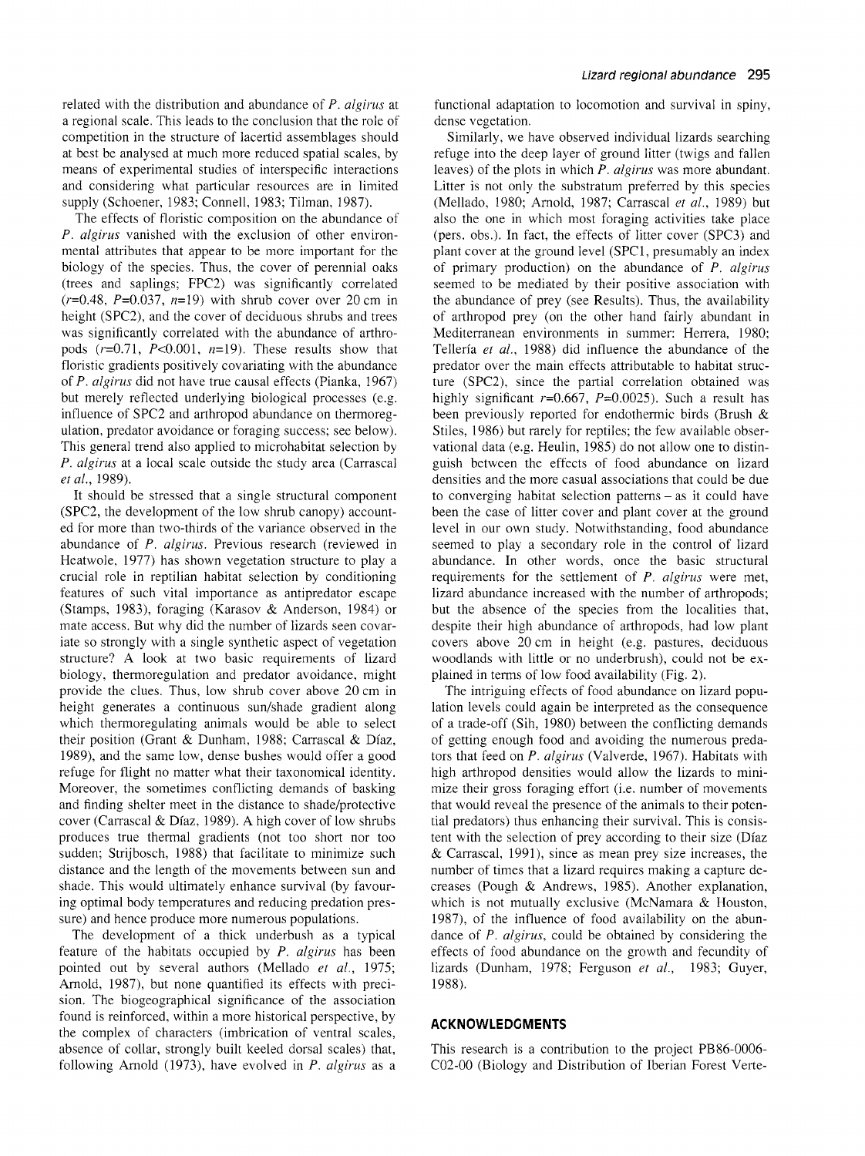related with the distribution and abundance of P. algirus at a regional scale. This leads to the conclusion that the role of competition in the structure of lacertid assemblages should at best be analysed at much more reduced spatial scales, by means of experimental studies of interspecific interactions and considering what particular resources are in limited supply (Schoener, 1983; Connell, 1983; Tilman, 1987).

The effects of floristic composition on the abundance of P. algirus vanished with the exclusion of other environmental attributes that appear to be more important for the biology of the species. Thus, the cover of perennial oaks (trees and saplings; FPC2) was significantly correlated  $(r=0.48, P=0.037, n=19)$  with shrub cover over 20 cm in height (SPC2), and the cover of deciduous shrubs and trees was significantly correlated with the abundance of arthropods  $(r=0.71, P<0.001, n=19)$ . These results show that floristic gradients positively covariating with the abundance of P. algirus did not have true causal effects (Pianka, 1967) but merely reflected underlying biological processes (e.g. influence of SPC2 and arthropod abundance on thermoregulation, predator avoidance or foraging success; see below). This general trend also applied to microhabitat selection by P. algirus at a local scale outside the study area (Carrascal *et* al., 1989).

It should be stressed that a single structural component (SPC2, the development of the low shrub canopy) accounted for more than two-thirds of the variance observed in the abundance of P. algirus. Previous research (reviewed in Heatwole, 1977) has shown vegetation structure to play a crucial role in reptilian habitat selection by conditioning features of such vital importance as antipredator escape (Stamps, 1983), foraging (Karasov & Anderson, 1984) or mate access. But why did the number of lizards seen covariate so strongly with a single synthetic aspect of vegetation structure? A look at two basic requirements of lizard biology, thermoregulation and predator avoidance, might provide the clues. Thus, low shrub cover above 20 cm in height generates a continuous sun/shade gradient along which thermoregulating animals would be able to select their position (Grant & Dunham, 1988; Carrascal & Díaz, 1989), and the same low, dense bushes would offer a good refuge for flight no matter what their taxonomical identity. Moreover, the sometimes conflicting demands of basking and finding shelter meet in the distance to shade/protective cover (Carrascal & Díaz, 1989). A high cover of low shrubs produces true thermal gradients (not too short nor too sudden; Strijbosch, 1988) that facilitate to minimize such distance and the length of the movements between sun and shade. This would ultimately enhance survival (by favouring optimal body temperatures and reducing predation pressure) and hence produce more numerous populations.

The development of a thick underbush as a typical feature of the habitats occupied by  $P$ . algirus has been pointed out by severa1 authors (Mellado *et* al., 1975; Arnold, 1987), but none quantified its effects with precision. The biogeographical significance of the association found is reinforced, within a more historical perspective, by the complex of characters (imbrication of ventral scales, absence of collar, strongly built keeled dorsal scales) that, following Arnold (1973), have evolved in  $P$ . algirus as a

functional adaptation to locomotion and survival in spiny, dense vegetation.

Similarly, we have observed individual lizards searching refuge into the deep layer of ground litter (twigs and fallen leaves) of the plots in which  $P$ . algirus was more abundant. Litter is not only the substratum preferred by this species (Mellado, 1980; Arnold, 1987; Carrascal *et* al., 1989) but also the one in which most foraging activities take place (pers. obs.). In fact, the effects of litter cover (SPC3) and plant cover at the ground level (SPC1, presumably an index of primary production) on the abundance of P. algirus seemed to be mediated by their positive association with the abundance of prey (see Results). Thus, the availability of arthropod prey (on the other hand fairly abundant in Mediterranean environments in summer: Herrera, 1980; Tellería *et* al., 1988) did influence the abundance of the predator over the main effects attributable to habitat structure (SPC2), since the partial correlation obtained was highly significant  $r=0.667$ ,  $P=0.0025$ ). Such a result has been previously reported for endothermic birds (Brush & Stiles, 1986) but rarely for reptiles; the few available observational data (e.g. Heulin, 1985) do not allow one to distinguish between the effects of food abundance on lizard densities and the more casual associations that could be due to converging habitat selection patterns - as it could have been the case of litter cover and plant cover at the ground level in our own study. Notwithstanding, food abundance seemed to play a secondary role in the control of lizard abundance. In other words, once the basic structural requirements for the settlement of  $P$ . algirus were met, lizard abundance increased with the number of arthropods; but the absence of the species from the localities that, despite their high abundance of arthropods, had low plant covers above 20 cm in height (e.g. pastures, deciduous woodlands with little or no underbrush), could not be explained in terms of low food availability (Fig. 2).

The intriguing effects of food abundance on lizard population levels could again be interpreted as the consequence of a trade-off (Sih, 1980) between the conflicting demands of getting enough food and avoiding the numerous predators that feed on P. algirus (Valverde, 1967). Habitats with high arthropod densities would allow the lizards to minimize their gross foraging effort (i.e. number of movements that would reveal the presence of the animals to their potentia1 predators) thus enhancing their survival. This is consistent with the selection of prey according to their size (Díaz & Carrascal, 1991), since as mean prey size increases, the number of times that a lizard requires making a capture decreases (Pough & Andrews, 1985). Another explanation, which is not mutually exclusive (McNamara & Houston, 1987), of the influence of food availability on the abundance of P. algirus, could be obtained by considering the effects of food abundance on the growth and fecundity of lizards (Dunham, 1978; Ferguson *et* al., 1983; Guyer, 1988).

## **ACKNOWLEDGMENTS**

This research is a contribution to the project PB86-0006- C02-00 (Biology and Distribution of Iberian Forest Verte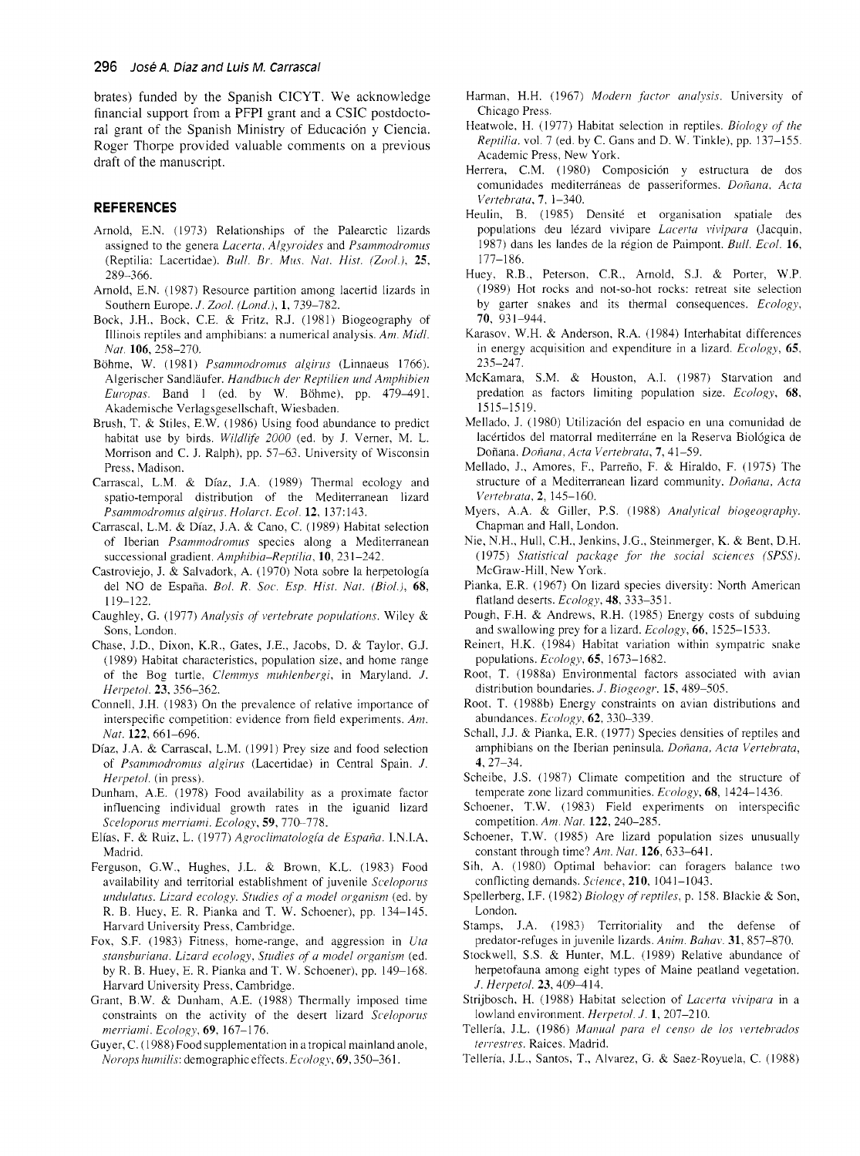brates) funded by the Spanish CICYT. We acknowledge financial support from a PFPI grant and a CSIC postdoctoral grant of the Spanish Ministry of Educación y Ciencia. Roger Thorpe provided valuable comments on a previous draft of the manuscript.

## **REFERENCES**

- Arnold, E.N. (1973) Relationships of the Palearctic lizards assigned to the genera Lacerta, Algyroides and Psammodromus (Reptilia: Lacertidae). Bull. Br. Mus. Nat. Hist. (Zool.), 25, 289-366
- Arnold, E.N. (1987) Resource partition among lacertid lizards in Southern Europe. J. Zool. (Lond.), 1, 739-782.
- Bock, J.H., Bock, C.E. & Fritz, R.J. (1981) Biogeography of Illinois reptiles and amphibians: a numerical analysis. Am. Midl. Nat. 106, 258-270.
- Böhme, W. (1981) Psammodromus algirus (Linnaeus 1766). Algerischer Sandläufer. Handbuch der Reptilien und Amphibien Europas. Band 1 (ed. by W. Böhme), pp. 479-491. Akademische Verlagsgesellschaft, Wiesbaden.
- Brush, T. & Stiles, E.W. (1986) Using food abundance to predict habitat use by birds. Wildlife 2000 (ed. by J. Verner, M. L. Morrison and C. J. Ralph), pp. 57-63. University of Wisconsin Press, Madison.
- Carrascal, L.M. & Díaz, J.A. (1989) Thermal ecology and spatio-temporal distribution of the Mediterranean lizard Psammodromus algirus. Holarct. Ecol. 12, 137:143.
- Carrascal, L.M. & Díaz, J.A. & Cano, C. (1989) Habitat selection of Iberian Psammodromus species along a Mediterranean successional gradient. Amphibia-Reptilia, 10, 231-242.
- Castroviejo, J. & Salvadork, A. (1970) Nota sobre la herpetología del NO de España. Bol. R. Soc. Esp. Hist. Nat. (Biol.), 68,  $119 - 122$ .
- Caughley, G. (1977) Analysis of vertebrate populations. Wiley & Sons, London.
- Chase, J.D., Dixon, K.R., Gates, J.E., Jacobs, D. & Taylor, G.J. (1989) Habitat characteristics, population size, and home range of the Bog turtle, Clemmys muhlenbergi, in Maryland. J. Herpetol. 23, 356-362.
- Connell, J.H. (1983) On the prevalence of relative importance of interspecific competition: evidence from field experiments. Am. Nat. 122, 661-696.
- Díaz, J.A. & Carrascal, L.M. (1991) Prey size and food selection of Psammodromus algirus (Lacertidae) in Central Spain. J. Herpetol. (in press).
- Dunham, A.E. (1978) Food availability as a proximate factor influencing individual growth rates in the iguanid lizard Sceloporus merriami. Ecology, 59, 770-778.
- Elías, F. & Ruiz, L. (1977) Agroclimatología de España. I.N.I.A, Madrid.
- Ferguson, G.W., Hughes, J.L. & Brown, K.L. (1983) Food availability and territorial establishment of juvenile Sceloporus undulatus. Lizard ecology. Studies of a model organism (ed. by R. B. Huey, E. R. Pianka and T. W. Schoener), pp. 134-145. Harvard University Press, Cambridge.
- Fox, S.F. (1983) Fitness, home-range, and aggression in Uta stansburiana. Lizard ecology, Studies of a model organism (ed. by R. B. Huey, E. R. Pianka and T. W. Schoener), pp. 149–168. Harvard University Press, Cambridge.
- Grant, B.W. & Dunham, A.E. (1988) Thermally imposed time constraints on the activity of the desert lizard Sceloporus merriami. Ecology, 69, 167-176.
- Guyer, C. (1988) Food supplementation in a tropical mainland anole, Norops humilis: demographic effects. Ecology, 69, 350-361.
- Harman, H.H. (1967) Modern factor analysis. University of Chicago Press.
- Heatwole, H. (1977) Habitat selection in reptiles. Biology of the Reptilia, vol. 7 (ed. by C. Gans and D. W. Tinkle), pp. 137-155. Academic Press, New York.
- Herrera, C.M. (1980) Composición y estructura de dos comunidades mediterráneas de passeriformes. Doñana, Acta Vertebrata, 7, 1-340.
- Heulin, B. (1985) Densité et organisation spatiale des populations deu lézard vivipare Lacerta vivipara (Jacquin, 1987) dans les landes de la région de Paimpont. Bull. Ecol. 16,  $177 - 186$ .
- Huey, R.B., Peterson, C.R., Arnold, S.J. & Porter, W.P. (1989) Hot rocks and not-so-hot rocks: retreat site selection by garter snakes and its thermal consequences. Ecology, 70, 931-944.
- Karasov, W.H. & Anderson, R.A. (1984) Interhabitat differences in energy acquisition and expenditure in a lizard. Ecology, 65,  $235 - 247.$
- McKamara, S.M. & Houston, A.I. (1987) Starvation and predation as factors limiting population size. Ecology, 68, 1515-1519.
- Mellado, J. (1980) Utilización del espacio en una comunidad de lacértidos del matorral mediterráne en la Reserva Biológica de Doñana. Doñana, Acta Vertebrata, 7, 41-59.
- Mellado, J., Amores, F., Parreño, F. & Hiraldo, F. (1975) The structure of a Mediterranean lizard community. Doñana, Acta Vertebrata, 2, 145-160.
- Myers, A.A. & Giller, P.S. (1988) Analytical biogeography. Chapman and Hall, London.
- Nie, N.H., Hull, C.H., Jenkins, J.G., Steinmerger, K. & Bent, D.H. (1975) Statistical package for the social sciences (SPSS). McGraw-Hill, New York.
- Pianka, E.R. (1967) On lizard species diversity: North American flatland deserts. Ecology, 48, 333-351.
- Pough, F.H. & Andrews, R.H. (1985) Energy costs of subduing and swallowing prey for a lizard. Ecology, 66, 1525-1533.
- Reinert, H.K. (1984) Habitat variation within sympatric snake populations. Ecology, 65, 1673-1682.
- Root, T. (1988a) Environmental factors associated with avian distribution boundaries. J. Biogeogr. 15, 489-505.
- Root, T. (1988b) Energy constraints on avian distributions and abundances.  $Ecology$ , 62, 330-339.
- Schall, J.J. & Pianka, E.R. (1977) Species densities of reptiles and amphibians on the Iberian peninsula. Doñana, Acta Vertebrata,  $4, 27 - 34.$
- Scheibe, J.S. (1987) Climate competition and the structure of temperate zone lizard communities. Ecology, 68, 1424-1436.
- Schoener, T.W. (1983) Field experiments on interspecific competition. Am. Nat. 122, 240-285.
- Schoener, T.W. (1985) Are lizard population sizes unusually constant through time? Am. Nat. 126, 633-641.
- Sih, A. (1980) Optimal behavior: can foragers balance two conflicting demands. Science, 210, 1041-1043.
- Spellerberg, I.F. (1982) Biology of reptiles, p. 158. Blackie & Son, London.
- Stamps, J.A. (1983) Territoriality and the defense of predator-refuges in juvenile lizards. Anim. Bahav. 31, 857-870.
- Stockwell, S.S. & Hunter, M.L. (1989) Relative abundance of herpetofauna among eight types of Maine peatland vegetation. J. Herpetol. 23, 409-414.
- Strijbosch, H. (1988) Habitat selection of Lacerta vivipara in a lowland environment. Herpetol. J. 1, 207-210.
- Tellería, J.L. (1986) Manual para el censo de los vertebrados terrestres. Raices. Madrid.
- Tellería, J.L., Santos, T., Alvarez, G. & Saez-Royuela, C. (1988)